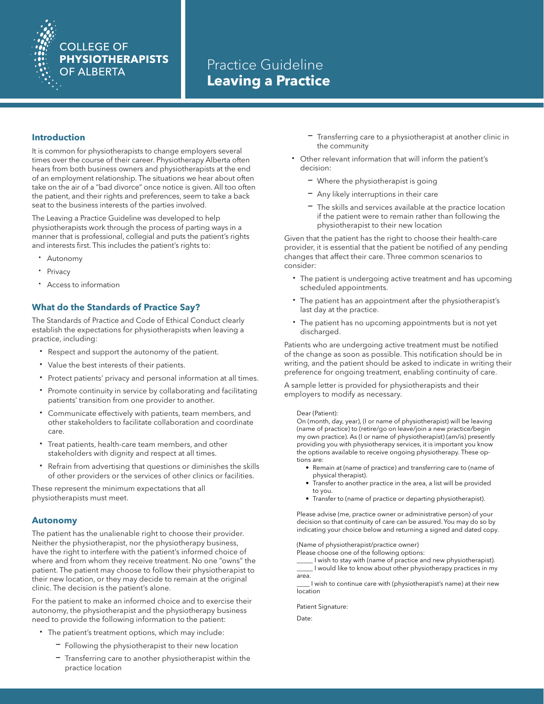# **COLLEGE OF PHYSIOTHERAPISTS OF ALBERTA**

## Practice Guideline **Leaving a Practice**

## **Introduction**

It is common for physiotherapists to change employers several times over the course of their career. Physiotherapy Alberta often hears from both business owners and physiotherapists at the end of an employment relationship. The situations we hear about often take on the air of a "bad divorce" once notice is given. All too often the patient, and their rights and preferences, seem to take a back seat to the business interests of the parties involved.

The Leaving a Practice Guideline was developed to help physiotherapists work through the process of parting ways in a manner that is professional, collegial and puts the patient's rights and interests first. This includes the patient's rights to:

- · Autonomy
- **Privacy**
- · Access to information

## **What do the Standards of Practice Say?**

The Standards of Practice and Code of Ethical Conduct clearly establish the expectations for physiotherapists when leaving a practice, including:

- Respect and support the autonomy of the patient.
- · Value the best interests of their patients.
- Protect patients' privacy and personal information at all times.
- · Promote continuity in service by collaborating and facilitating patients' transition from one provider to another.
- Communicate effectively with patients, team members, and other stakeholders to facilitate collaboration and coordinate care.
- Treat patients, health-care team members, and other stakeholders with dignity and respect at all times.
- Refrain from advertising that questions or diminishes the skills of other providers or the services of other clinics or facilities.

These represent the minimum expectations that all physiotherapists must meet.

### **Autonomy**

The patient has the unalienable right to choose their provider. Neither the physiotherapist, nor the physiotherapy business, have the right to interfere with the patient's informed choice of where and from whom they receive treatment. No one "owns" the patient. The patient may choose to follow their physiotherapist to their new location, or they may decide to remain at the original clinic. The decision is the patient's alone.

For the patient to make an informed choice and to exercise their autonomy, the physiotherapist and the physiotherapy business need to provide the following information to the patient:

- · The patient's treatment options, which may include:
	- Following the physiotherapist to their new location
	- Transferring care to another physiotherapist within the practice location
- Transferring care to a physiotherapist at another clinic in the community
- · Other relevant information that will inform the patient's decision:
	- Where the physiotherapist is going
	- Any likely interruptions in their care
	- The skills and services available at the practice location if the patient were to remain rather than following the physiotherapist to their new location

Given that the patient has the right to choose their health-care provider, it is essential that the patient be notified of any pending changes that affect their care. Three common scenarios to consider:

- · The patient is undergoing active treatment and has upcoming scheduled appointments.
- The patient has an appointment after the physiotherapist's last day at the practice.
- · The patient has no upcoming appointments but is not yet discharged.

Patients who are undergoing active treatment must be notified of the change as soon as possible. This notification should be in writing, and the patient should be asked to indicate in writing their preference for ongoing treatment, enabling continuity of care.

A sample letter is provided for physiotherapists and their employers to modify as necessary.

#### Dear (Patient):

On (month, day, year), (I or name of physiotherapist) will be leaving (name of practice) to (retire/go on leave/join a new practice/begin my own practice). As (I or name of physiotherapist) (am/is) presently providing you with physiotherapy services, it is important you know the options available to receive ongoing physiotherapy. These options are:

- Remain at (name of practice) and transferring care to (name of physical therapist).
- Transfer to another practice in the area, a list will be provided to you.
- Transfer to (name of practice or departing physiotherapist).

Please advise (me, practice owner or administrative person) of your decision so that continuity of care can be assured. You may do so by indicating your choice below and returning a signed and dated copy.

(Name of physiotherapist/practice owner)

Please choose one of the following options:

\_\_\_\_\_ I wish to stay with (name of practice and new physiotherapist). \_\_\_\_\_ I would like to know about other physiotherapy practices in my

area.

\_\_\_\_ I wish to continue care with (physiotherapist's name) at their new **location** 

Patient Signature:

Date: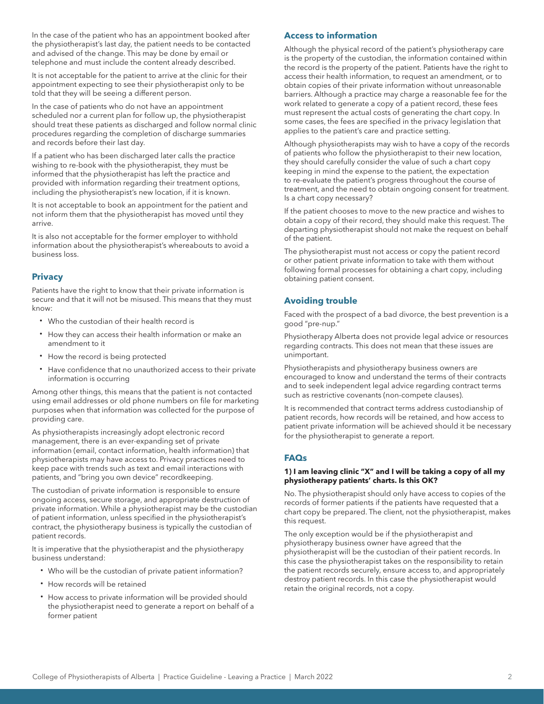In the case of the patient who has an appointment booked after the physiotherapist's last day, the patient needs to be contacted and advised of the change. This may be done by email or telephone and must include the content already described.

It is not acceptable for the patient to arrive at the clinic for their appointment expecting to see their physiotherapist only to be told that they will be seeing a different person.

In the case of patients who do not have an appointment scheduled nor a current plan for follow up, the physiotherapist should treat these patients as discharged and follow normal clinic procedures regarding the completion of discharge summaries and records before their last day.

If a patient who has been discharged later calls the practice wishing to re-book with the physiotherapist, they must be informed that the physiotherapist has left the practice and provided with information regarding their treatment options, including the physiotherapist's new location, if it is known.

It is not acceptable to book an appointment for the patient and not inform them that the physiotherapist has moved until they arrive.

It is also not acceptable for the former employer to withhold information about the physiotherapist's whereabouts to avoid a business loss.

## **Privacy**

Patients have the right to know that their private information is secure and that it will not be misused. This means that they must know:

- · Who the custodian of their health record is
- · How they can access their health information or make an amendment to it
- How the record is being protected
- · Have confidence that no unauthorized access to their private information is occurring

Among other things, this means that the patient is not contacted using email addresses or old phone numbers on file for marketing purposes when that information was collected for the purpose of providing care.

As physiotherapists increasingly adopt electronic record management, there is an ever-expanding set of private information (email, contact information, health information) that physiotherapists may have access to. Privacy practices need to keep pace with trends such as text and email interactions with patients, and "bring you own device" recordkeeping.

The custodian of private information is responsible to ensure ongoing access, secure storage, and appropriate destruction of private information. While a physiotherapist may be the custodian of patient information, unless specified in the physiotherapist's contract, the physiotherapy business is typically the custodian of patient records.

It is imperative that the physiotherapist and the physiotherapy business understand:

- · Who will be the custodian of private patient information?
- · How records will be retained
- · How access to private information will be provided should the physiotherapist need to generate a report on behalf of a former patient

## **Access to information**

Although the physical record of the patient's physiotherapy care is the property of the custodian, the information contained within the record is the property of the patient. Patients have the right to access their health information, to request an amendment, or to obtain copies of their private information without unreasonable barriers. Although a practice may charge a reasonable fee for the work related to generate a copy of a patient record, these fees must represent the actual costs of generating the chart copy. In some cases, the fees are specified in the privacy legislation that applies to the patient's care and practice setting.

Although physiotherapists may wish to have a copy of the records of patients who follow the physiotherapist to their new location, they should carefully consider the value of such a chart copy keeping in mind the expense to the patient, the expectation to re-evaluate the patient's progress throughout the course of treatment, and the need to obtain ongoing consent for treatment. Is a chart copy necessary?

If the patient chooses to move to the new practice and wishes to obtain a copy of their record, they should make this request. The departing physiotherapist should not make the request on behalf of the patient.

The physiotherapist must not access or copy the patient record or other patient private information to take with them without following formal processes for obtaining a chart copy, including obtaining patient consent.

## **Avoiding trouble**

Faced with the prospect of a bad divorce, the best prevention is a good "pre-nup."

Physiotherapy Alberta does not provide legal advice or resources regarding contracts. This does not mean that these issues are unimportant.

Physiotherapists and physiotherapy business owners are encouraged to know and understand the terms of their contracts and to seek independent legal advice regarding contract terms such as restrictive covenants (non-compete clauses).

It is recommended that contract terms address custodianship of patient records, how records will be retained, and how access to patient private information will be achieved should it be necessary for the physiotherapist to generate a report.

## **FAQs**

#### **1) I am leaving clinic "X" and I will be taking a copy of all my physiotherapy patients' charts. Is this OK?**

No. The physiotherapist should only have access to copies of the records of former patients if the patients have requested that a chart copy be prepared. The client, not the physiotherapist, makes this request.

The only exception would be if the physiotherapist and physiotherapy business owner have agreed that the physiotherapist will be the custodian of their patient records. In this case the physiotherapist takes on the responsibility to retain the patient records securely, ensure access to, and appropriately destroy patient records. In this case the physiotherapist would retain the original records, not a copy.